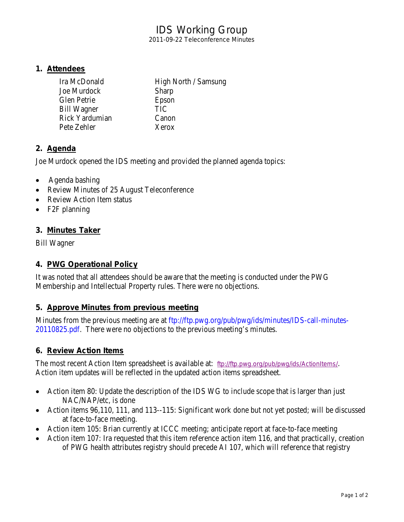# IDS Working Group

2011-09-22 Teleconference Minutes

### **1. Attendees**

| Ira McDonald   | High North / Samsung |
|----------------|----------------------|
| Joe Murdock    | Sharp                |
| Glen Petrie    | Epson                |
| Bill Wagner    | <b>TIC</b>           |
| Rick Yardumian | Canon                |
| Pete Zehler    | Xerox                |
|                |                      |

# **2. Agenda**

Joe Murdock opened the IDS meeting and provided the planned agenda topics:

- Agenda bashing
- Review Minutes of 25 August Teleconference
- Review Action Item status
- F2F planning

# **3. Minutes Taker**

Bill Wagner

### **4. PWG Operational Policy**

It was noted that all attendees should be aware that the meeting is conducted under the PWG Membership and Intellectual Property rules. There were no objections.

### **5. Approve Minutes from previous meeting**

Minutes from the previous meeting are at [ftp://ftp.pwg.org/pub/pwg/ids/minutes/IDS-call-minutes-](ftp://ftp.pwg.org/pub/pwg/ids/minutes/IDS-call-minutes-20110825.pdf)[20110825.pdf.](ftp://ftp.pwg.org/pub/pwg/ids/minutes/IDS-call-minutes-20110825.pdf) There were no objections to the previous meeting's minutes.

# **6. Review Action Items**

The most recent Action Item spreadsheet is available at: <ftp://ftp.pwg.org/pub/pwg/ids/ActionItems/>. Action item updates will be reflected in the updated action items spreadsheet.

- Action item 80: Update the description of the IDS WG to include scope that is larger than just NAC/NAP/etc, is done
- Action items 96,110, 111, and 113--115: Significant work done but not yet posted; will be discussed at face-to-face meeting.
- Action item 105: Brian currently at ICCC meeting; anticipate report at face-to-face meeting
- Action item 107: Ira requested that this item reference action item 116, and that practically, creation of PWG health attributes registry should precede AI 107, which will reference that registry